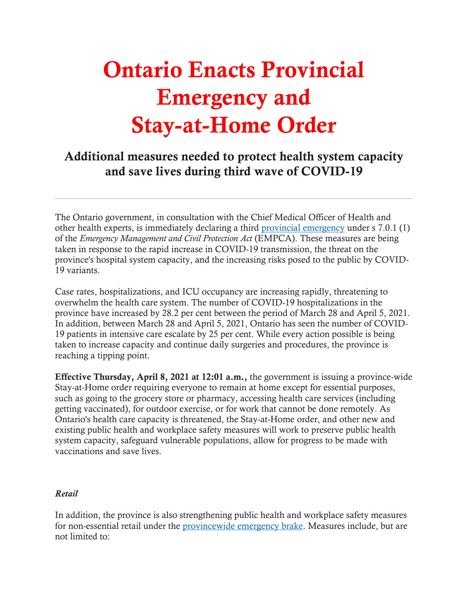## Ontario Enacts Provincial Emergency and Stay-at-Home Order

## Additional measures needed to protect health system capacity and save lives during third wave of COVID-19

other health experts, is immediately declaring a third [provincial emergency](https://www.ontario.ca/page/enhancing-public-health-and-workplace-safety-measures-provincewide-shutdown) under s 7.0.1 (1) of the *Emergency Management and Civil Protection Act* (EMPCA). These measures are being taken in response to the rapid increase in COVID-19 transmission, the threat on the province's hospital system capacity, and the increasing risks posed to the public by COVID-The Ontario government, in consultation with the Chief Medical Officer of Health and 19 variants.

 province have increased by 28.2 per cent between the period of March 28 and April 5, 2021. In addition, between March 28 and April 5, 2021, Ontario has seen the number of COVID- 19 patients in intensive care escalate by 25 per cent. While every action possible is being taken to increase capacity and continue daily surgeries and procedures, the province is Case rates, hospitalizations, and ICU occupancy are increasing rapidly, threatening to overwhelm the health care system. The number of COVID-19 hospitalizations in the reaching a tipping point.

Effective Thursday, April 8, 2021 at 12:01 a.m., the government is issuing a province-wide getting vaccinated), for outdoor exercise, or for work that cannot be done remotely. As Ontario's health care capacity is threatened, the Stay-at-Home order, and other new and existing public health and workplace safety measures will work to preserve public health system capacity, safeguard vulnerable populations, allow for progress to be made with vaccinations and save lives. Stay-at-Home order requiring everyone to remain at home except for essential purposes, such as going to the grocery store or pharmacy, accessing health care services (including

## *Retail*

In addition, the province is also strengthening public health and workplace safety measures for non-essential retail under the [provincewide emergency brake.](https://covid-19.ontario.ca/zones-and-restrictions) Measures include, but are not limited to: